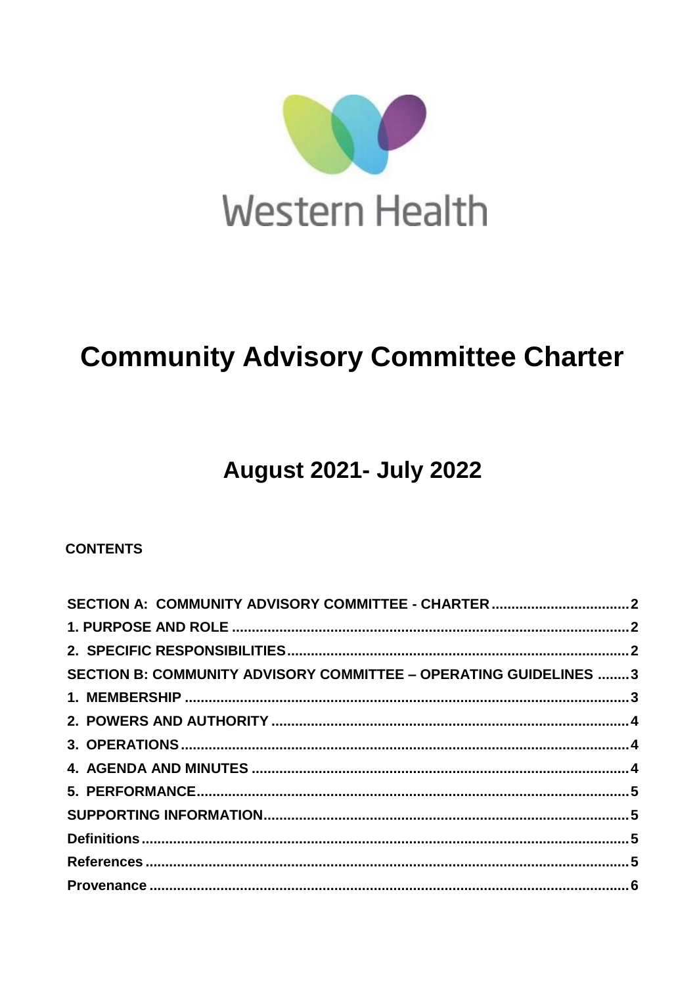

# **Community Advisory Committee Charter**

## **August 2021- July 2022**

## **CONTENTS**

| SECTION B: COMMUNITY ADVISORY COMMITTEE - OPERATING GUIDELINES  3 |  |
|-------------------------------------------------------------------|--|
|                                                                   |  |
|                                                                   |  |
|                                                                   |  |
|                                                                   |  |
|                                                                   |  |
|                                                                   |  |
|                                                                   |  |
|                                                                   |  |
|                                                                   |  |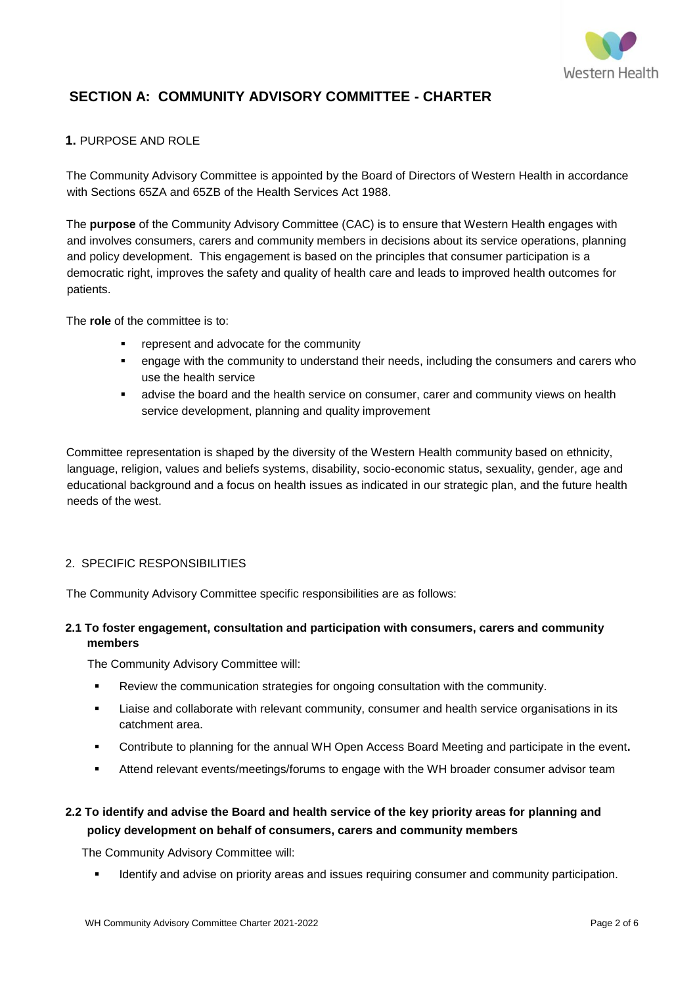

## <span id="page-1-0"></span>**SECTION A: COMMUNITY ADVISORY COMMITTEE - CHARTER**

#### <span id="page-1-1"></span>**1.** PURPOSE AND ROLE

The Community Advisory Committee is appointed by the Board of Directors of Western Health in accordance with Sections 65ZA and 65ZB of the Health Services Act 1988.

The **purpose** of the Community Advisory Committee (CAC) is to ensure that Western Health engages with and involves consumers, carers and community members in decisions about its service operations, planning and policy development. This engagement is based on the principles that consumer participation is a democratic right, improves the safety and quality of health care and leads to improved health outcomes for patients.

The **role** of the committee is to:

- **•** represent and advocate for the community
- engage with the community to understand their needs, including the consumers and carers who use the health service
- advise the board and the health service on consumer, carer and community views on health service development, planning and quality improvement

Committee representation is shaped by the diversity of the Western Health community based on ethnicity, language, religion, values and beliefs systems, disability, socio-economic status, sexuality, gender, age and educational background and a focus on health issues as indicated in our strategic plan, and the future health needs of the west.

#### <span id="page-1-2"></span>2. SPECIFIC RESPONSIBILITIES

The Community Advisory Committee specific responsibilities are as follows:

#### **2.1 To foster engagement, consultation and participation with consumers, carers and community members**

The Community Advisory Committee will:

- Review the communication strategies for ongoing consultation with the community.
- Liaise and collaborate with relevant community, consumer and health service organisations in its catchment area.
- Contribute to planning for the annual WH Open Access Board Meeting and participate in the event**.**
- Attend relevant events/meetings/forums to engage with the WH broader consumer advisor team

## **2.2 To identify and advise the Board and health service of the key priority areas for planning and policy development on behalf of consumers, carers and community members**

The Community Advisory Committee will:

Identify and advise on priority areas and issues requiring consumer and community participation.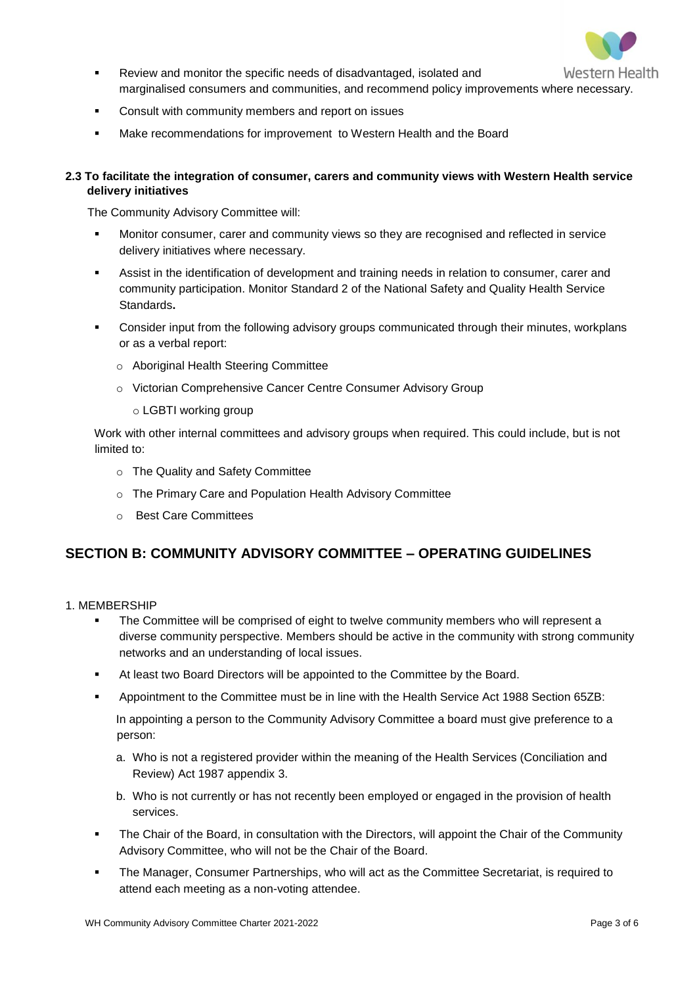

- Review and monitor the specific needs of disadvantaged, isolated and marginalised consumers and communities, and recommend policy improvements where necessary.
- **EXECONSULTE:** Consult with community members and report on issues
- Make recommendations for improvement to Western Health and the Board

#### **2.3 To facilitate the integration of consumer, carers and community views with Western Health service delivery initiatives**

The Community Advisory Committee will:

- Monitor consumer, carer and community views so they are recognised and reflected in service delivery initiatives where necessary.
- Assist in the identification of development and training needs in relation to consumer, carer and community participation. Monitor Standard 2 of the National Safety and Quality Health Service Standards**.**
- **EXECONS** Consider input from the following advisory groups communicated through their minutes, workplans or as a verbal report:
	- o Aboriginal Health Steering Committee
	- o Victorian Comprehensive Cancer Centre Consumer Advisory Group
		- o LGBTI working group

Work with other internal committees and advisory groups when required. This could include, but is not limited to:

- o The Quality and Safety Committee
- o The Primary Care and Population Health Advisory Committee
- o Best Care Committees

## <span id="page-2-0"></span>**SECTION B: COMMUNITY ADVISORY COMMITTEE – OPERATING GUIDELINES**

#### <span id="page-2-1"></span>1. MEMBERSHIP

- The Committee will be comprised of eight to twelve community members who will represent a diverse community perspective. Members should be active in the community with strong community networks and an understanding of local issues.
- At least two Board Directors will be appointed to the Committee by the Board.
- Appointment to the Committee must be in line with the Health Service Act 1988 Section 65ZB:

In appointing a person to the Community Advisory Committee a board must give preference to a person:

- a. Who is not a registered provider within the meaning of the Health Services (Conciliation and Review) Act 1987 appendix 3.
- b. Who is not currently or has not recently been employed or engaged in the provision of health services.
- The Chair of the Board, in consultation with the Directors, will appoint the Chair of the Community Advisory Committee, who will not be the Chair of the Board.
- The Manager, Consumer Partnerships, who will act as the Committee Secretariat, is required to attend each meeting as a non-voting attendee.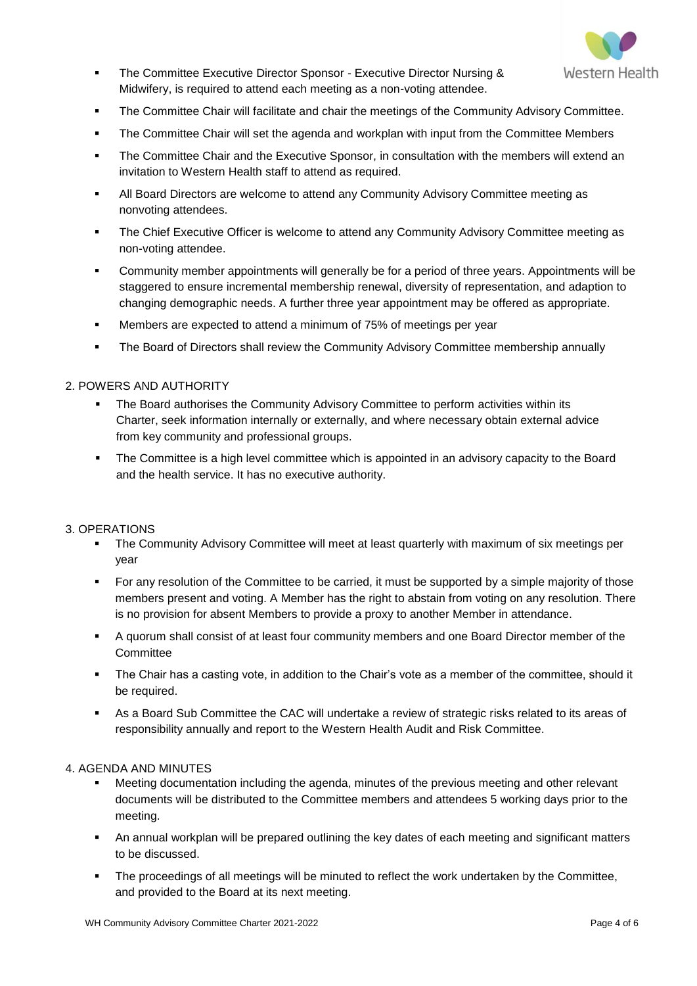

- **The Committee Executive Director Sponsor Executive Director Nursing &** Midwifery, is required to attend each meeting as a non-voting attendee.
- The Committee Chair will facilitate and chair the meetings of the Community Advisory Committee.
- **The Committee Chair will set the agenda and workplan with input from the Committee Members**
- **The Committee Chair and the Executive Sponsor, in consultation with the members will extend an** invitation to Western Health staff to attend as required.
- All Board Directors are welcome to attend any Community Advisory Committee meeting as nonvoting attendees.
- **The Chief Executive Officer is welcome to attend any Community Advisory Committee meeting as** non-voting attendee.
- Community member appointments will generally be for a period of three years. Appointments will be staggered to ensure incremental membership renewal, diversity of representation, and adaption to changing demographic needs. A further three year appointment may be offered as appropriate.
- Members are expected to attend a minimum of 75% of meetings per year
- **The Board of Directors shall review the Community Advisory Committee membership annually**

#### <span id="page-3-0"></span>2. POWERS AND AUTHORITY

- The Board authorises the Community Advisory Committee to perform activities within its Charter, seek information internally or externally, and where necessary obtain external advice from key community and professional groups.
- The Committee is a high level committee which is appointed in an advisory capacity to the Board and the health service. It has no executive authority.

#### <span id="page-3-1"></span>3. OPERATIONS

- The Community Advisory Committee will meet at least quarterly with maximum of six meetings per year
- For any resolution of the Committee to be carried, it must be supported by a simple majority of those members present and voting. A Member has the right to abstain from voting on any resolution. There is no provision for absent Members to provide a proxy to another Member in attendance.
- A quorum shall consist of at least four community members and one Board Director member of the **Committee**
- The Chair has a casting vote, in addition to the Chair's vote as a member of the committee, should it be required.
- As a Board Sub Committee the CAC will undertake a review of strategic risks related to its areas of responsibility annually and report to the Western Health Audit and Risk Committee.

#### <span id="page-3-2"></span>4. AGENDA AND MINUTES

- Meeting documentation including the agenda, minutes of the previous meeting and other relevant documents will be distributed to the Committee members and attendees 5 working days prior to the meeting.
- An annual workplan will be prepared outlining the key dates of each meeting and significant matters to be discussed.
- **The proceedings of all meetings will be minuted to reflect the work undertaken by the Committee,** and provided to the Board at its next meeting.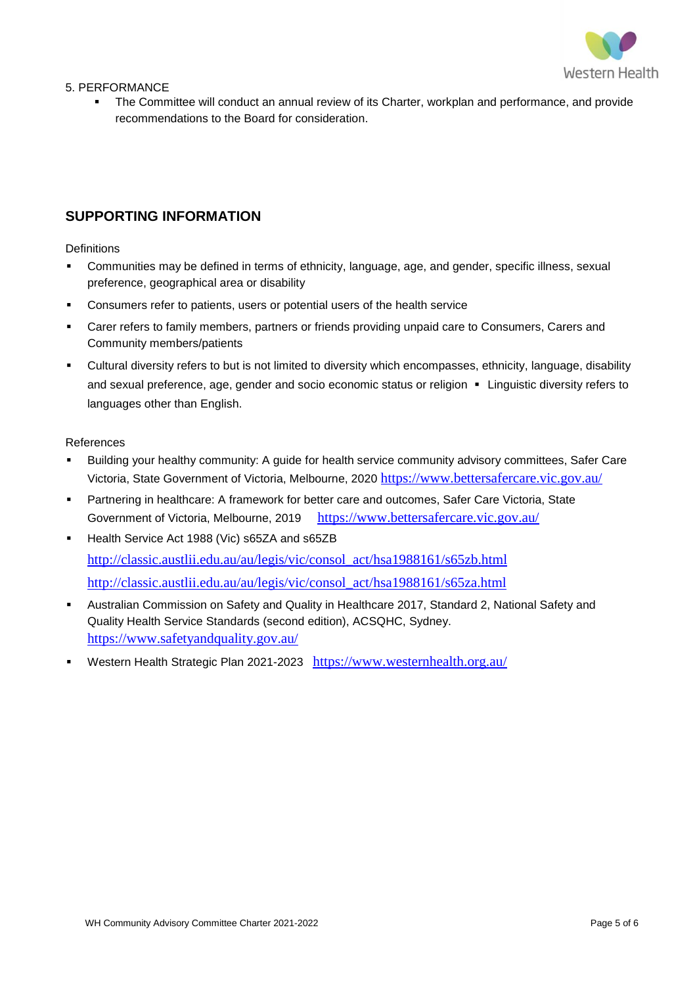

<span id="page-4-0"></span>5. PERFORMANCE

 The Committee will conduct an annual review of its Charter, workplan and performance, and provide recommendations to the Board for consideration.

### <span id="page-4-1"></span>**SUPPORTING INFORMATION**

<span id="page-4-2"></span>**Definitions** 

- Communities may be defined in terms of ethnicity, language, age, and gender, specific illness, sexual preference, geographical area or disability
- Consumers refer to patients, users or potential users of the health service
- Carer refers to family members, partners or friends providing unpaid care to Consumers, Carers and Community members/patients
- Cultural diversity refers to but is not limited to diversity which encompasses, ethnicity, language, disability and sexual preference, age, gender and socio economic status or religion · Linguistic diversity refers to languages other than English.

#### <span id="page-4-3"></span>References

- Building your healthy community: A guide for health service community advisory committees, Safer Care Victoria, State Government of Victoria, Melbourne, 2020 <https://www.bettersafercare.vic.gov.au/>
- Partnering in healthcare: A framework for better care and outcomes, Safer Care Victoria, State Government of Victoria, Melbourne, 2019 <https://www.bettersafercare.vic.gov.au/>
- Health Service Act 1988 (Vic) s65ZA and s65ZB [http://classic.austlii.edu.au/au/legis/vic/consol\\_act/hsa1988161/s65zb.html](http://classic.austlii.edu.au/au/legis/vic/consol_act/hsa1988161/s65zb.html) [http://classic.austlii.edu.au/au/legis/vic/consol\\_act/hsa1988161/s65za.html](http://classic.austlii.edu.au/au/legis/vic/consol_act/hsa1988161/s65za.html)
- Australian Commission on Safety and Quality in Healthcare 2017, Standard 2, National Safety and Quality Health Service Standards (second edition), ACSQHC, Sydney. <https://www.safetyandquality.gov.au/>
- Western Health Strategic Plan 2021-2023 <https://www.westernhealth.org.au/>